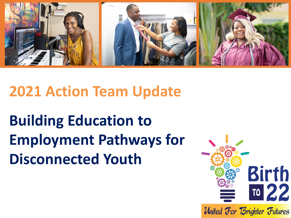

# **2021 Action Team Update**

# **Building Education to Employment Pathways for Disconnected Youth**

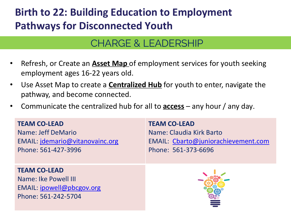## **Birth to 22: Building Education to Employment Pathways for Disconnected Youth**

### CHARGE & LEADERSHIP

- Refresh, or Create an **Asset Map** of employment services for youth seeking employment ages 16-22 years old.
- Use Asset Map to create a **Centralized Hub** for youth to enter, navigate the pathway, and become connected.
- Communicate the centralized hub for all to **access** any hour / any day.

#### **TEAM CO-LEAD**

Name: Jeff DeMario EMAIL: [jdemario@vitanovainc.org](mailto:jdemario@vitanovainc.org) Phone: 561-427-3996

#### **TEAM CO-LEAD**

Name: Ike Powell III EMAIL: [ipowell@pbcgov.org](mailto:ipowell@pbcgov.org) Phone: 561-242-5704

#### **TEAM CO-LEAD**

Name: Claudia Kirk Barto EMAIL: [Cbarto@juniorachievement.com](mailto:Cbarto@juniorachievement.com) Phone: 561-373-6696

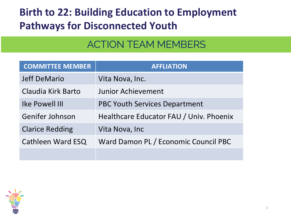## **Birth to 22: Building Education to Employment Pathways for Disconnected Youth**

### ACTION TEAM MEMBERS

| <b>COMMITTEE MEMBER</b> | <b>AFFLIATION</b>                       |
|-------------------------|-----------------------------------------|
| <b>Jeff DeMario</b>     | Vita Nova, Inc.                         |
| Claudia Kirk Barto      | <b>Junior Achievement</b>               |
| <b>Ike Powell III</b>   | <b>PBC Youth Services Department</b>    |
| Genifer Johnson         | Healthcare Educator FAU / Univ. Phoenix |
| <b>Clarice Redding</b>  | Vita Nova, Inc                          |
| Cathleen Ward ESQ       | Ward Damon PL / Economic Council PBC    |
|                         |                                         |

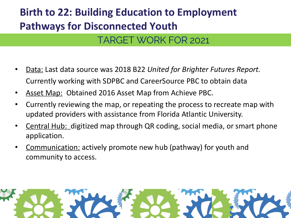# **Birth to 22: Building Education to Employment Pathways for Disconnected Youth**

### TARGET WORK FOR 2021

- Data: Last data source was 2018 B22 *United for Brighter Futures Report.*  Currently working with SDPBC and CareerSource PBC to obtain data
- Asset Map: Obtained 2016 Asset Map from Achieve PBC.
- Currently reviewing the map, or repeating the process to recreate map with updated providers with assistance from Florida Atlantic University.
- Central Hub: digitized map through QR coding, social media, or smart phone application.
- Communication: actively promote new hub (pathway) for youth and community to access.

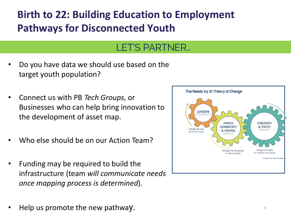## **Birth to 22: Building Education to Employment Pathways for Disconnected Youth**

#### LET'S PARTNER…

- Do you have data we should use based on the target youth population?
- Connect us with PB *Tech Groups*, or Businesses who can help bring innovation to the development of asset map.
- Who else should be on our Action Team?
- Funding may be required to build the infrastructure (team *will communicate needs once mapping process is determined*).
- Help us promote the new pathway.